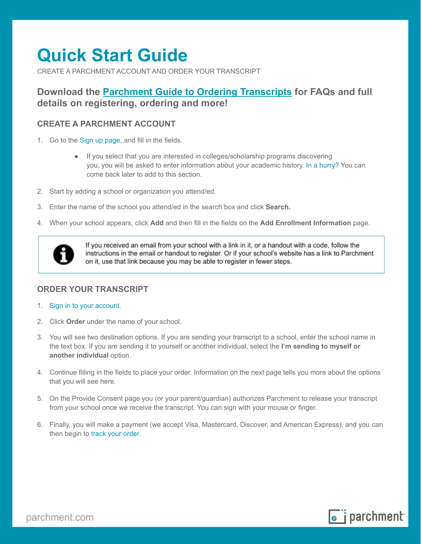# **Quick Start Guide**

CREATE A PARCHMENT ACCOUNT AND ORDER YOUR TRANSCRIPT

# **Download the Parchment Guide to Ordering [Transcripts](https://parchmentsupport.force.com/s/article/Parchment-Guide-to-Ordering-Transcripts?language=en_US) for FAQs and full details on [registering,](https://parchmentsupport.force.com/s/article/Parchment-Guide-to-Ordering-Transcripts?language=en_US) ordering and more!**

## **CREATE A PARCHMENT ACCOUNT**

- 1. Go to the Sign up [page,](https://www.parchment.com/u/registration/individual) and fill in the fields.
	- If you select that you are interested in colleges/scholarship programs discovering you, you will be asked to enter information about your academic history. In a hurry? You can come back later to add to this section.
- 2. Start by adding a school or organization you attend/ed.
- 3. Enter the name of the school you attend/ed in the search box and click **Search.**
- 4. When your school appears, click **Add** and then fill in the fields on the **Add Enrollment Information** page.



If you received an email from your school with a link in it, or a handout with a code, follow the instructions in the email or handout to register. Or if your school's website has a link to Parchment on it, use that link because you may be able to register in fewer steps.

### **ORDER YOUR TRANSCRIPT**

- 1. Sign in to your [account.](https://www.parchment.com/u/auth/login)
- 2. Click **Order** under the name of your school.
- 3. You will see two destination options. If you are sending your transcript to a school, enter the school name in the text box. If you are sending it to yourself or another individual, select the **I'm sending to myself or another individual** option.
- 4. Continue filling in the fields to place your order. Information on the next page tells you more about the options that you will see here.
- 5. On the Provide Consent page you (or your parent/guardian) authorizes Parchment to release your transcript from your school once we receive the transcript. You can sign with your mouse or finger.
- 6. Finally, you will make a payment (we accept Visa, Mastercard, Discover, and American Express), and you can then begin to track your [order.](https://parchmentsupport.force.com/s/article/Transcript-not-received?language=en_US)

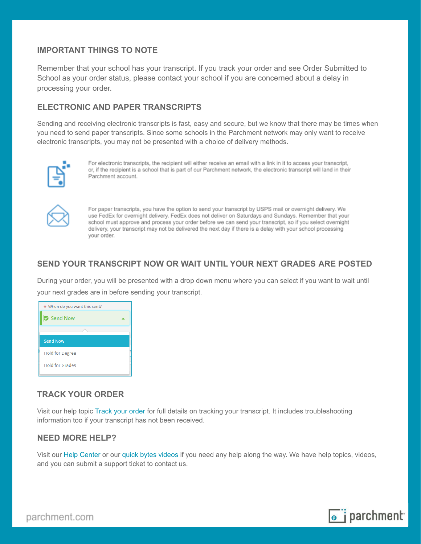### **IMPORTANT THINGS TO NOTE**

Remember that your school has your transcript. If you track your order and see Order Submitted to School as your order status, please contact your school if you are concerned about a delay in processing your order.

### **ELECTRONIC AND PAPER TRANSCRIPTS**

Sending and receiving electronic transcripts is fast, easy and secure, but we know that there may be times when you need to send paper transcripts. Since some schools in the Parchment network may only want to receive electronic transcripts, you may not be presented with a choice of delivery methods.



For electronic transcripts, the recipient will either receive an email with a link in it to access your transcript, or, if the recipient is a school that is part of our Parchment network, the electronic transcript will land in their Parchment account.



For paper transcripts, you have the option to send your transcript by USPS mail or overnight delivery. We use FedEx for overnight delivery. FedEx does not deliver on Saturdays and Sundays. Remember that your school must approve and process your order before we can send your transcript, so if you select overnight delivery, your transcript may not be delivered the next day if there is a delay with your school processing your order.

#### **SEND YOUR TRANSCRIPT NOW OR WAIT UNTIL YOUR NEXT GRADES ARE POSTED**

During your order, you will be presented with a drop down menu where you can select if you want to wait until your next grades are in before sending your transcript.



### **TRACK YOUR ORDER**

Visit our help topic [Track](https://parchmentsupport.force.com/s/article/Transcript-not-received?language=en_US) your order for full details on tracking your transcript. It includes troubleshooting information too if your transcript has not been received.

#### **NEED MORE HELP?**

Visit our Help [Center](https://parchmentsupport.force.com/s/?language=en_US) or our quick bytes [videos](https://www.youtube.com/playlist?list=PLXZpdoXeN2HVeE1yfWZRJhPEmbuziNlVK) if you need any help along the way. We have help topics, videos, and you can submit a support ticket to contact us.